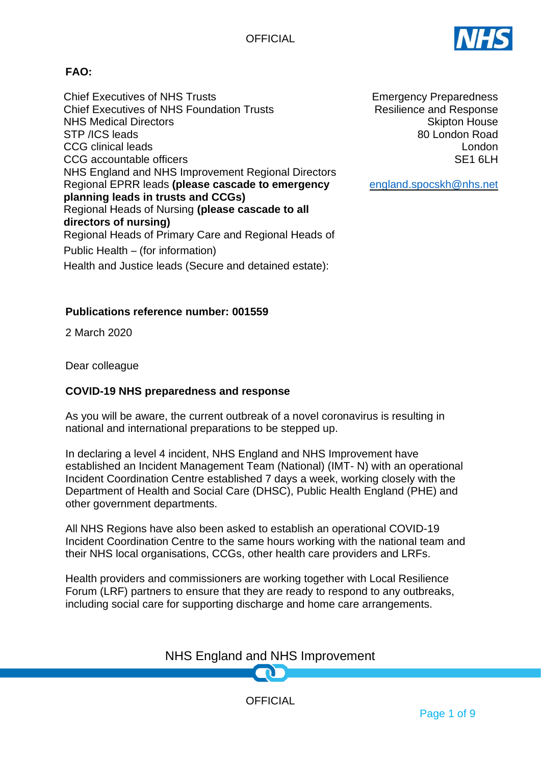

# **FAO:**

Chief Executives of NHS Trusts Chief Executives of NHS Foundation Trusts NHS Medical Directors STP /ICS leads CCG clinical leads CCG accountable officers NHS England and NHS Improvement Regional Directors Regional EPRR leads **(please cascade to emergency planning leads in trusts and CCGs)** Regional Heads of Nursing **(please cascade to all directors of nursing)** Regional Heads of Primary Care and Regional Heads of Public Health – (for information) Health and Justice leads (Secure and detained estate):

**Publications reference number: 001559**

2 March 2020

Dear colleague

### **COVID-19 NHS preparedness and response**

As you will be aware, the current outbreak of a novel coronavirus is resulting in national and international preparations to be stepped up.

In declaring a level 4 incident, NHS England and NHS Improvement have established an Incident Management Team (National) (IMT- N) with an operational Incident Coordination Centre established 7 days a week, working closely with the Department of Health and Social Care (DHSC), Public Health England (PHE) and other government departments.

All NHS Regions have also been asked to establish an operational COVID-19 Incident Coordination Centre to the same hours working with the national team and their NHS local organisations, CCGs, other health care providers and LRFs.

Health providers and commissioners are working together with Local Resilience Forum (LRF) partners to ensure that they are ready to respond to any outbreaks, including social care for supporting discharge and home care arrangements.

# NHS England and NHS Improvement

**OFFICIAL** 

Emergency Preparedness Resilience and Response Skipton House 80 London Road London SE<sub>1</sub> 6LH

[england.spocskh@nhs.net](mailto:england.spocskh@nhs.net)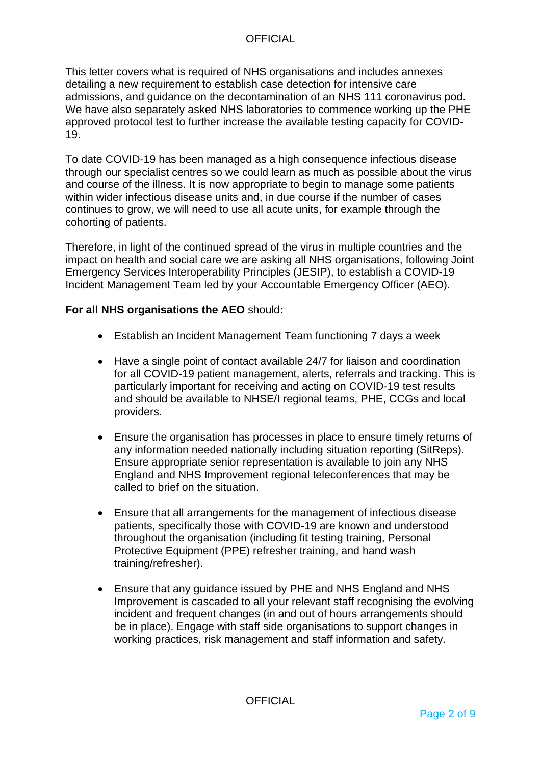This letter covers what is required of NHS organisations and includes annexes detailing a new requirement to establish case detection for intensive care admissions, and guidance on the decontamination of an NHS 111 coronavirus pod. We have also separately asked NHS laboratories to commence working up the PHE approved protocol test to further increase the available testing capacity for COVID-19.

To date COVID-19 has been managed as a high consequence infectious disease through our specialist centres so we could learn as much as possible about the virus and course of the illness. It is now appropriate to begin to manage some patients within wider infectious disease units and, in due course if the number of cases continues to grow, we will need to use all acute units, for example through the cohorting of patients.

Therefore, in light of the continued spread of the virus in multiple countries and the impact on health and social care we are asking all NHS organisations, following Joint Emergency Services Interoperability Principles (JESIP), to establish a COVID-19 Incident Management Team led by your Accountable Emergency Officer (AEO).

### **For all NHS organisations the AEO** should**:**

- Establish an Incident Management Team functioning 7 days a week
- Have a single point of contact available 24/7 for liaison and coordination for all COVID-19 patient management, alerts, referrals and tracking. This is particularly important for receiving and acting on COVID-19 test results and should be available to NHSE/I regional teams, PHE, CCGs and local providers.
- Ensure the organisation has processes in place to ensure timely returns of any information needed nationally including situation reporting (SitReps). Ensure appropriate senior representation is available to join any NHS England and NHS Improvement regional teleconferences that may be called to brief on the situation.
- Ensure that all arrangements for the management of infectious disease patients, specifically those with COVID-19 are known and understood throughout the organisation (including fit testing training, Personal Protective Equipment (PPE) refresher training, and hand wash training/refresher).
- Ensure that any guidance issued by PHE and NHS England and NHS Improvement is cascaded to all your relevant staff recognising the evolving incident and frequent changes (in and out of hours arrangements should be in place). Engage with staff side organisations to support changes in working practices, risk management and staff information and safety.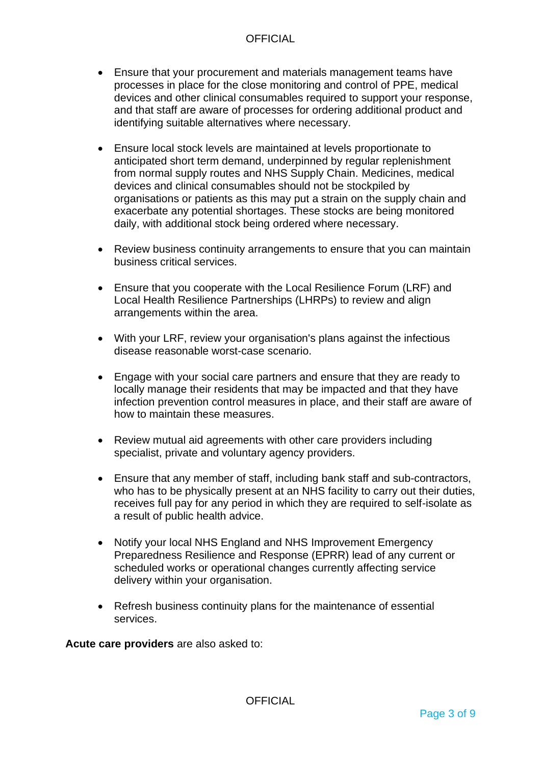- Ensure that your procurement and materials management teams have processes in place for the close monitoring and control of PPE, medical devices and other clinical consumables required to support your response, and that staff are aware of processes for ordering additional product and identifying suitable alternatives where necessary.
- Ensure local stock levels are maintained at levels proportionate to anticipated short term demand, underpinned by regular replenishment from normal supply routes and NHS Supply Chain. Medicines, medical devices and clinical consumables should not be stockpiled by organisations or patients as this may put a strain on the supply chain and exacerbate any potential shortages. These stocks are being monitored daily, with additional stock being ordered where necessary.
- Review business continuity arrangements to ensure that you can maintain business critical services.
- Ensure that you cooperate with the Local Resilience Forum (LRF) and Local Health Resilience Partnerships (LHRPs) to review and align arrangements within the area.
- With your LRF, review your organisation's plans against the infectious disease reasonable worst-case scenario.
- Engage with your social care partners and ensure that they are ready to locally manage their residents that may be impacted and that they have infection prevention control measures in place, and their staff are aware of how to maintain these measures.
- Review mutual aid agreements with other care providers including specialist, private and voluntary agency providers.
- Ensure that any member of staff, including bank staff and sub-contractors, who has to be physically present at an NHS facility to carry out their duties, receives full pay for any period in which they are required to self-isolate as a result of public health advice.
- Notify your local NHS England and NHS Improvement Emergency Preparedness Resilience and Response (EPRR) lead of any current or scheduled works or operational changes currently affecting service delivery within your organisation.
- Refresh business continuity plans for the maintenance of essential services.

**Acute care providers** are also asked to: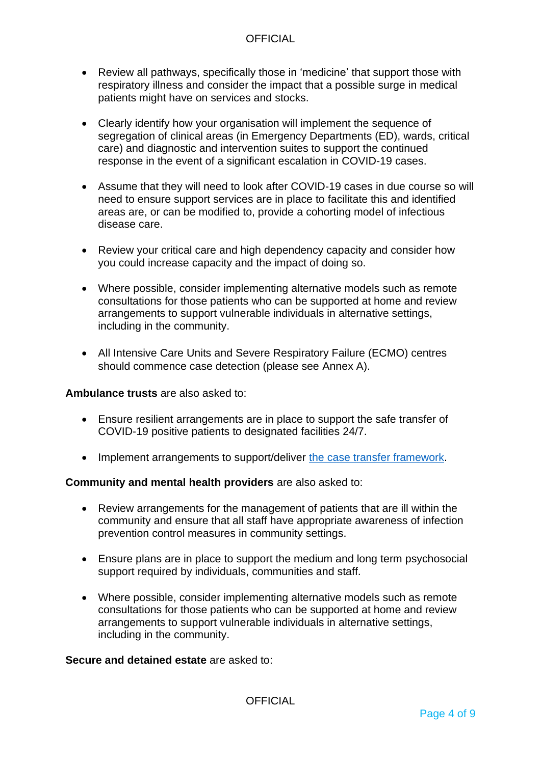- Review all pathways, specifically those in 'medicine' that support those with respiratory illness and consider the impact that a possible surge in medical patients might have on services and stocks.
- Clearly identify how your organisation will implement the sequence of segregation of clinical areas (in Emergency Departments (ED), wards, critical care) and diagnostic and intervention suites to support the continued response in the event of a significant escalation in COVID-19 cases.
- Assume that they will need to look after COVID-19 cases in due course so will need to ensure support services are in place to facilitate this and identified areas are, or can be modified to, provide a cohorting model of infectious disease care.
- Review your critical care and high dependency capacity and consider how you could increase capacity and the impact of doing so.
- Where possible, consider implementing alternative models such as remote consultations for those patients who can be supported at home and review arrangements to support vulnerable individuals in alternative settings, including in the community.
- All Intensive Care Units and Severe Respiratory Failure (ECMO) centres should commence case detection (please see Annex A).

### **Ambulance trusts** are also asked to:

- Ensure resilient arrangements are in place to support the safe transfer of COVID-19 positive patients to designated facilities 24/7.
- Implement arrangements to support/deliver [the case transfer framework.](https://www.england.nhs.uk/wp-content/uploads/2020/02/coronavirus-briefing-ambulance.pdf)

### **Community and mental health providers** are also asked to:

- Review arrangements for the management of patients that are ill within the community and ensure that all staff have appropriate awareness of infection prevention control measures in community settings.
- Ensure plans are in place to support the medium and long term psychosocial support required by individuals, communities and staff.
- Where possible, consider implementing alternative models such as remote consultations for those patients who can be supported at home and review arrangements to support vulnerable individuals in alternative settings, including in the community.

### **Secure and detained estate** are asked to: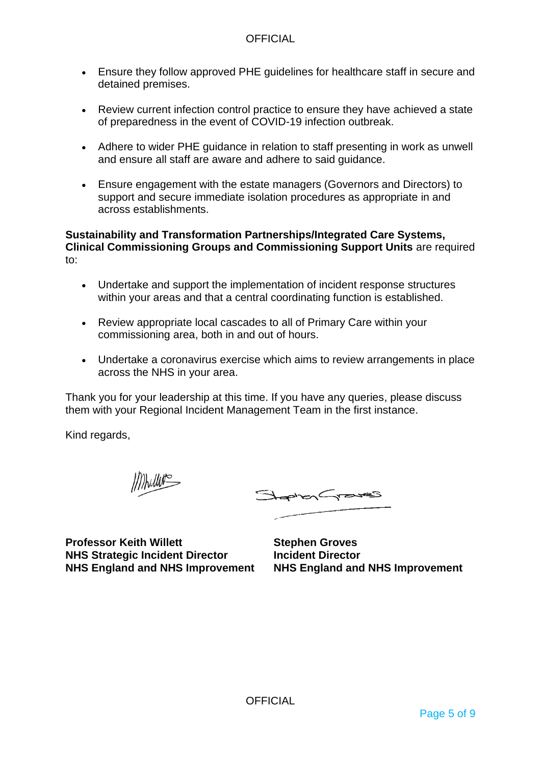- Ensure they follow approved PHE guidelines for healthcare staff in secure and detained premises.
- Review current infection control practice to ensure they have achieved a state of preparedness in the event of COVID-19 infection outbreak.
- Adhere to wider PHE guidance in relation to staff presenting in work as unwell and ensure all staff are aware and adhere to said guidance.
- Ensure engagement with the estate managers (Governors and Directors) to support and secure immediate isolation procedures as appropriate in and across establishments.

### **Sustainability and Transformation Partnerships/Integrated Care Systems, Clinical Commissioning Groups and Commissioning Support Units** are required to:

- Undertake and support the implementation of incident response structures within your areas and that a central coordinating function is established.
- Review appropriate local cascades to all of Primary Care within your commissioning area, both in and out of hours.
- Undertake a coronavirus exercise which aims to review arrangements in place across the NHS in your area.

Thank you for your leadership at this time. If you have any queries, please discuss them with your Regional Incident Management Team in the first instance.

Kind regards,

Mullet

StephenGraves

**Professor Keith Willett NHS Strategic Incident Director NHS England and NHS Improvement**

**Stephen Groves Incident Director NHS England and NHS Improvement**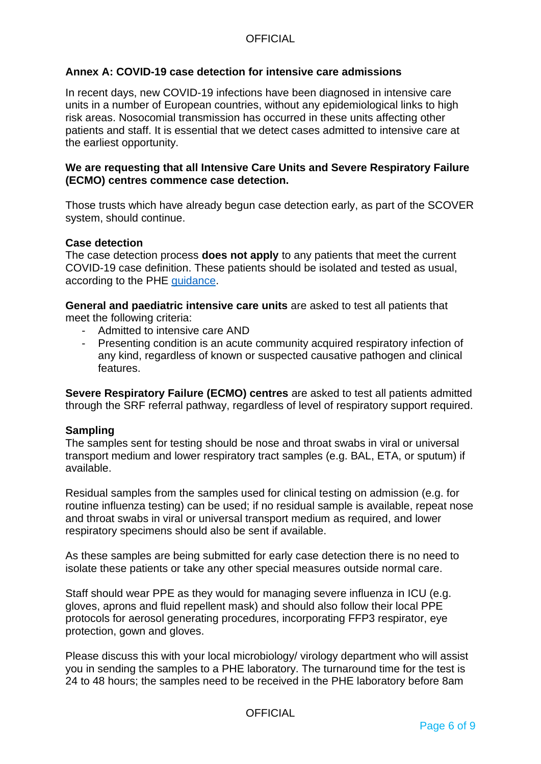### **Annex A: COVID-19 case detection for intensive care admissions**

In recent days, new COVID-19 infections have been diagnosed in intensive care units in a number of European countries, without any epidemiological links to high risk areas. Nosocomial transmission has occurred in these units affecting other patients and staff. It is essential that we detect cases admitted to intensive care at the earliest opportunity.

### **We are requesting that all Intensive Care Units and Severe Respiratory Failure (ECMO) centres commence case detection.**

Those trusts which have already begun case detection early, as part of the SCOVER system, should continue.

#### **Case detection**

The case detection process **does not apply** to any patients that meet the current COVID-19 case definition. These patients should be isolated and tested as usual, according to the PHE [guidance.](https://www.gov.uk/government/publications/wuhan-novel-coronavirus-initial-investigation-of-possible-cases/investigation-and-initial-clinical-management-of-possible-cases-of-wuhan-novel-coronavirus-wn-cov-infection)

**General and paediatric intensive care units** are asked to test all patients that meet the following criteria:

- Admitted to intensive care AND
- Presenting condition is an acute community acquired respiratory infection of any kind, regardless of known or suspected causative pathogen and clinical features.

**Severe Respiratory Failure (ECMO) centres** are asked to test all patients admitted through the SRF referral pathway, regardless of level of respiratory support required.

#### **Sampling**

The samples sent for testing should be nose and throat swabs in viral or universal transport medium and lower respiratory tract samples (e.g. BAL, ETA, or sputum) if available.

Residual samples from the samples used for clinical testing on admission (e.g. for routine influenza testing) can be used; if no residual sample is available, repeat nose and throat swabs in viral or universal transport medium as required, and lower respiratory specimens should also be sent if available.

As these samples are being submitted for early case detection there is no need to isolate these patients or take any other special measures outside normal care.

Staff should wear PPE as they would for managing severe influenza in ICU (e.g. gloves, aprons and fluid repellent mask) and should also follow their local PPE protocols for aerosol generating procedures, incorporating FFP3 respirator, eye protection, gown and gloves.

Please discuss this with your local microbiology/ virology department who will assist you in sending the samples to a PHE laboratory. The turnaround time for the test is 24 to 48 hours; the samples need to be received in the PHE laboratory before 8am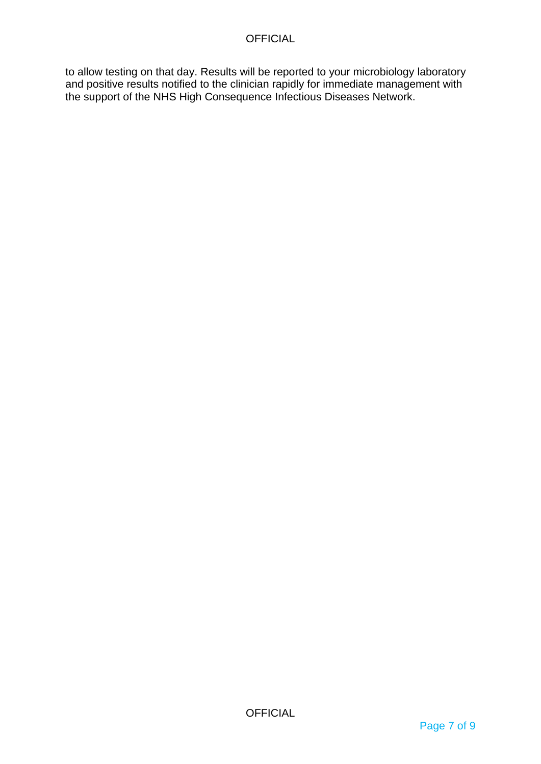to allow testing on that day. Results will be reported to your microbiology laboratory and positive results notified to the clinician rapidly for immediate management with the support of the NHS High Consequence Infectious Diseases Network.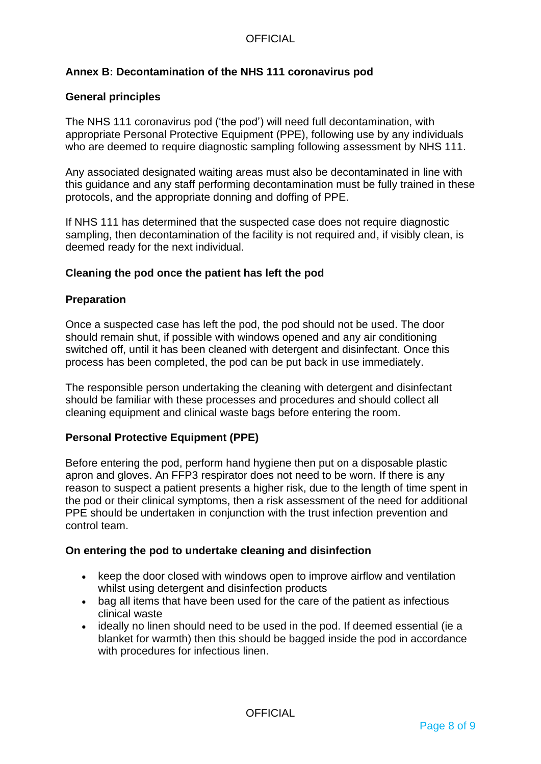# **Annex B: Decontamination of the NHS 111 coronavirus pod**

### **General principles**

The NHS 111 coronavirus pod ('the pod') will need full decontamination, with appropriate Personal Protective Equipment (PPE), following use by any individuals who are deemed to require diagnostic sampling following assessment by NHS 111.

Any associated designated waiting areas must also be decontaminated in line with this guidance and any staff performing decontamination must be fully trained in these protocols, and the appropriate donning and doffing of PPE.

If NHS 111 has determined that the suspected case does not require diagnostic sampling, then decontamination of the facility is not required and, if visibly clean, is deemed ready for the next individual.

### **Cleaning the pod once the patient has left the pod**

### **Preparation**

Once a suspected case has left the pod, the pod should not be used. The door should remain shut, if possible with windows opened and any air conditioning switched off, until it has been cleaned with detergent and disinfectant. Once this process has been completed, the pod can be put back in use immediately.

The responsible person undertaking the cleaning with detergent and disinfectant should be familiar with these processes and procedures and should collect all cleaning equipment and clinical waste bags before entering the room.

### **Personal Protective Equipment (PPE)**

Before entering the pod, perform hand hygiene then put on a disposable plastic apron and gloves. An FFP3 respirator does not need to be worn. If there is any reason to suspect a patient presents a higher risk, due to the length of time spent in the pod or their clinical symptoms, then a risk assessment of the need for additional PPE should be undertaken in conjunction with the trust infection prevention and control team.

### **On entering the pod to undertake cleaning and disinfection**

- keep the door closed with windows open to improve airflow and ventilation whilst using detergent and disinfection products
- bag all items that have been used for the care of the patient as infectious clinical waste
- ideally no linen should need to be used in the pod. If deemed essential (ie a blanket for warmth) then this should be bagged inside the pod in accordance with procedures for infectious linen.